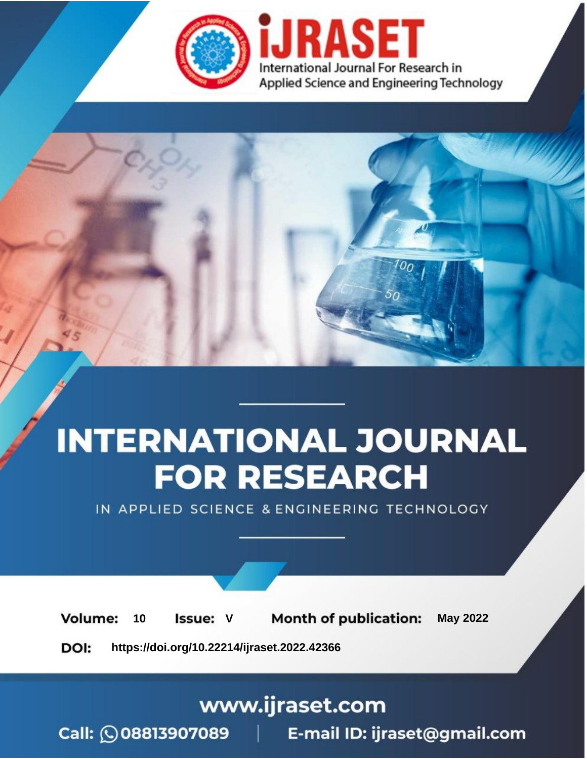

# **INTERNATIONAL JOURNAL FOR RESEARCH**

IN APPLIED SCIENCE & ENGINEERING TECHNOLOGY

Volume: **Month of publication: May 2022** 10 **Issue: V** 

DOI: https://doi.org/10.22214/ijraset.2022.42366

www.ijraset.com

Call: 008813907089 | E-mail ID: ijraset@gmail.com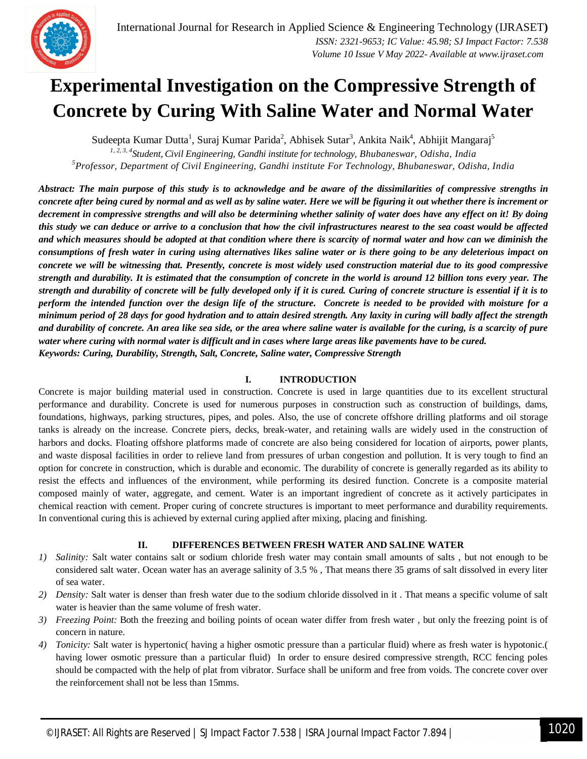### **Experimental Investigation on the Compressive Strength of Concrete by Curing With Saline Water and Normal Water**

Sudeepta Kumar Dutta<sup>1</sup>, Suraj Kumar Parida<sup>2</sup>, Abhisek Sutar<sup>3</sup>, Ankita Naik<sup>4</sup>, Abhijit Mangaraj<sup>5</sup> *1, 2, 3, 4 Student, Civil Engineering, Gandhi institute for technology, Bhubaneswar, Odisha, India <sup>5</sup>Professor, Department of Civil Engineering, Gandhi institute For Technology, Bhubaneswar, Odisha, India*

*Abstract: The main purpose of this study is to acknowledge and be aware of the dissimilarities of compressive strengths in concrete after being cured by normal and as well as by saline water. Here we will be figuring it out whether there is increment or decrement in compressive strengths and will also be determining whether salinity of water does have any effect on it! By doing this study we can deduce or arrive to a conclusion that how the civil infrastructures nearest to the sea coast would be affected and which measures should be adopted at that condition where there is scarcity of normal water and how can we diminish the consumptions of fresh water in curing using alternatives likes saline water or is there going to be any deleterious impact on concrete we will be witnessing that. Presently, concrete is most widely used construction material due to its good compressive strength and durability. It is estimated that the consumption of concrete in the world is around 12 billion tons every year. The strength and durability of concrete will be fully developed only if it is cured. Curing of concrete structure is essential if it is to perform the intended function over the design life of the structure. Concrete is needed to be provided with moisture for a minimum period of 28 days for good hydration and to attain desired strength. Any laxity in curing will badly affect the strength and durability of concrete. An area like sea side, or the area where saline water is available for the curing, is a scarcity of pure water where curing with normal water is difficult and in cases where large areas like pavements have to be cured. Keywords: Curing, Durability, Strength, Salt, Concrete, Saline water, Compressive Strength*

#### **I. INTRODUCTION**

Concrete is major building material used in construction. Concrete is used in large quantities due to its excellent structural performance and durability. Concrete is used for numerous purposes in construction such as construction of buildings, dams, foundations, highways, parking structures, pipes, and poles. Also, the use of concrete offshore drilling platforms and oil storage tanks is already on the increase. Concrete piers, decks, break-water, and retaining walls are widely used in the construction of harbors and docks. Floating offshore platforms made of concrete are also being considered for location of airports, power plants, and waste disposal facilities in order to relieve land from pressures of urban congestion and pollution. It is very tough to find an option for concrete in construction, which is durable and economic. The durability of concrete is generally regarded as its ability to resist the effects and influences of the environment, while performing its desired function. Concrete is a composite material composed mainly of water, aggregate, and cement. Water is an important ingredient of concrete as it actively participates in chemical reaction with cement. Proper curing of concrete structures is important to meet performance and durability requirements. In conventional curing this is achieved by external curing applied after mixing, placing and finishing.

#### **II. DIFFERENCES BETWEEN FRESH WATER AND SALINE WATER**

- *1) Salinity:* Salt water contains salt or sodium chloride fresh water may contain small amounts of salts , but not enough to be considered salt water. Ocean water has an average salinity of 3.5 % , That means there 35 grams of salt dissolved in every liter of sea water.
- *2) Density:* Salt water is denser than fresh water due to the sodium chloride dissolved in it . That means a specific volume of salt water is heavier than the same volume of fresh water.
- *3) Freezing Point:* Both the freezing and boiling points of ocean water differ from fresh water , but only the freezing point is of concern in nature.
- *4) Tonicity:* Salt water is hypertonic( having a higher osmotic pressure than a particular fluid) where as fresh water is hypotonic.( having lower osmotic pressure than a particular fluid) In order to ensure desired compressive strength, RCC fencing poles should be compacted with the help of plat from vibrator. Surface shall be uniform and free from voids. The concrete cover over the reinforcement shall not be less than 15mms.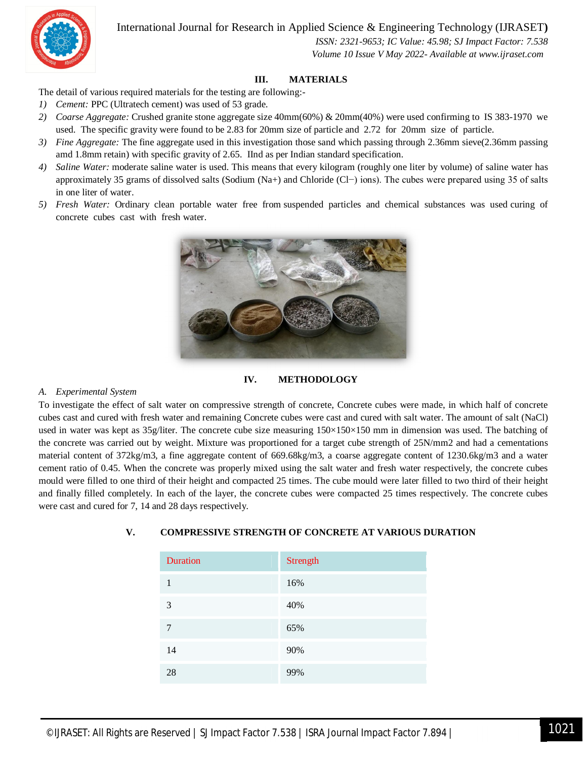

 *ISSN: 2321-9653; IC Value: 45.98; SJ Impact Factor: 7.538 Volume 10 Issue V May 2022- Available at www.ijraset.com*

#### **III. MATERIALS**

The detail of various required materials for the testing are following:-

- *1) Cement:* PPC (Ultratech cement) was used of 53 grade.
- *2) Coarse Aggregate:* Crushed granite stone aggregate size 40mm(60%) & 20mm(40%) were used confirming to IS 383-1970 we used. The specific gravity were found to be 2.83 for 20mm size of particle and 2.72 for 20mm size of particle.
- *3) Fine Aggregate:* The fine aggregate used in this investigation those sand which passing through 2.36mm sieve(2.36mm passing amd 1.8mm retain) with specific gravity of 2.65. IInd as per Indian standard specification.
- *4) Saline Water:* moderate saline water is used. This means that every kilogram (roughly one liter by volume) of saline water has approximately 35 grams of dissolved salts (Sodium (Na+) and Chloride (Cl−) ions). The cubes were prepared using 35 of salts in one liter of water.
- *5) Fresh Water:* Ordinary clean portable water free from suspended particles and chemical substances was used curing of concrete cubes cast with fresh water.



#### **IV. METHODOLOGY**

#### *A. Experimental System*

To investigate the effect of salt water on compressive strength of concrete, Concrete cubes were made, in which half of concrete cubes cast and cured with fresh water and remaining Concrete cubes were cast and cured with salt water. The amount of salt (NaCl) used in water was kept as 35g/liter. The concrete cube size measuring  $150\times150\times150$  mm in dimension was used. The batching of the concrete was carried out by weight. Mixture was proportioned for a target cube strength of 25N/mm2 and had a cementations material content of 372kg/m3, a fine aggregate content of 669.68kg/m3, a coarse aggregate content of 1230.6kg/m3 and a water cement ratio of 0.45. When the concrete was properly mixed using the salt water and fresh water respectively, the concrete cubes mould were filled to one third of their height and compacted 25 times. The cube mould were later filled to two third of their height and finally filled completely. In each of the layer, the concrete cubes were compacted 25 times respectively. The concrete cubes were cast and cured for 7, 14 and 28 days respectively.

| <b>Duration</b> | Strength |
|-----------------|----------|
| 1               | 16%      |
| 3               | 40%      |
| 7               | 65%      |
| 14              | 90%      |
| 28              | 99%      |

#### **V. COMPRESSIVE STRENGTH OF CONCRETE AT VARIOUS DURATION**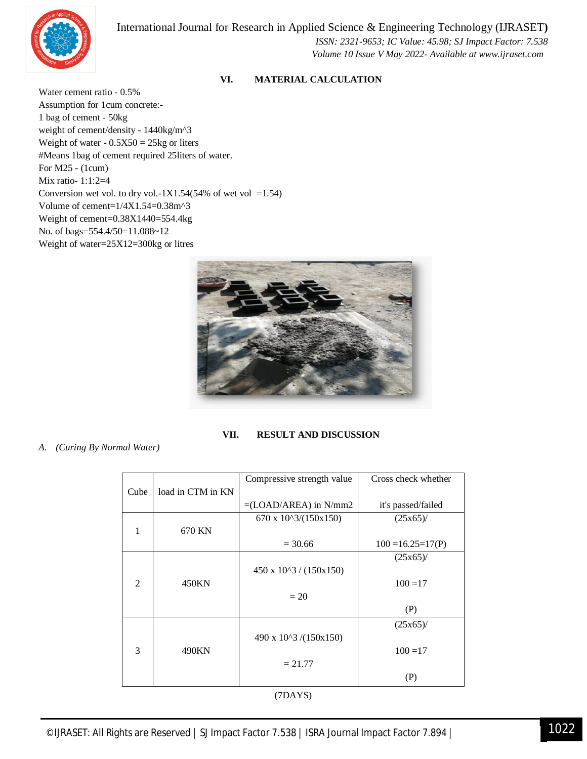

 *ISSN: 2321-9653; IC Value: 45.98; SJ Impact Factor: 7.538 Volume 10 Issue V May 2022- Available at www.ijraset.com*

#### **VI. MATERIAL CALCULATION**

Water cement ratio - 0.5% Assumption for 1cum concrete:- 1 bag of cement - 50kg weight of cement/density - 1440kg/m^3 Weight of water  $-0.5X50 = 25kg$  or liters #Means 1bag of cement required 25liters of water. For M25 - (1cum) Mix ratio- 1:1:2=4 Conversion wet vol. to dry vol.-1X1.54(54% of wet vol =1.54) Volume of cement=1/4X1.54=0.38m^3 Weight of cement=0.38X1440=554.4kg No. of bags=554.4/50=11.088~12 Weight of water=25X12=300kg or litres



#### **VII. RESULT AND DISCUSSION**

*A. (Curing By Normal Water)*

|                |                   | Compressive strength value             | Cross check whether   |
|----------------|-------------------|----------------------------------------|-----------------------|
| Cube           | load in CTM in KN |                                        |                       |
|                |                   | $=(LOAD/AREA)$ in N/mm2                | it's passed/failed    |
|                |                   | $670 \times 10^{3}/(150 \times 150)$   | $(25x65)$ /           |
| 1              | 670 KN            |                                        |                       |
|                |                   | $= 30.66$                              | $100 = 16.25 = 17(P)$ |
|                |                   |                                        | $(25x65)$ /           |
|                |                   | $450 \times 10^{3} / (150 \times 150)$ |                       |
| $\mathfrak{D}$ | 450KN             |                                        | $100 = 17$            |
|                |                   | $=20$                                  |                       |
|                |                   |                                        | (P)                   |
|                |                   |                                        | $(25x65)$ /           |
|                |                   | 490 x 10^3 /(150x150)                  |                       |
| 3              | 490KN             |                                        | $100 = 17$            |
|                |                   | $= 21.77$                              |                       |
|                |                   |                                        | (P)                   |
| (7DAYS)        |                   |                                        |                       |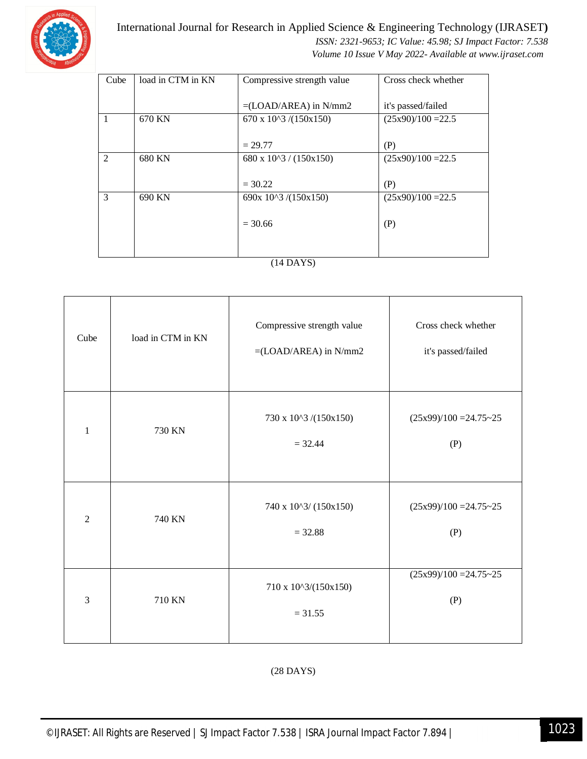

 *ISSN: 2321-9653; IC Value: 45.98; SJ Impact Factor: 7.538 Volume 10 Issue V May 2022- Available at www.ijraset.com*

| Cube           | load in CTM in KN | Compressive strength value | Cross check whether  |
|----------------|-------------------|----------------------------|----------------------|
|                |                   |                            |                      |
|                |                   | $=(LOAD/AREA)$ in N/mm2    | it's passed/failed   |
| $\overline{1}$ | 670 KN            | 670 x $10^{3}/(150x150)$   | $(25x90)/100 = 22.5$ |
|                |                   |                            |                      |
|                |                   | $= 29.77$                  | (P)                  |
| $\overline{2}$ | 680 KN            | 680 x $10^{3}$ / (150x150) | $(25x90)/100 = 22.5$ |
|                |                   |                            |                      |
|                |                   | $= 30.22$                  | (P)                  |
| 3              | 690 KN            | 690x $10^{3}/(150x150)$    | $(25x90)/100 = 22.5$ |
|                |                   |                            |                      |
|                |                   | $= 30.66$                  | (P)                  |
|                |                   |                            |                      |
|                |                   |                            |                      |
|                |                   |                            |                      |

#### (14 DAYS)

| Cube           | load in CTM in KN | Compressive strength value<br>$=(LOAD/AREA)$ in N/mm2 | Cross check whether<br>it's passed/failed |
|----------------|-------------------|-------------------------------------------------------|-------------------------------------------|
| $\mathbf{1}$   | 730 KN            | 730 x 10^3 /(150x150)<br>$= 32.44$                    | $(25x99)/100 = 24.75-25$<br>(P)           |
| $\overline{2}$ | 740 KN            | 740 x 10^3/ (150x150)<br>$= 32.88$                    | $(25x99)/100 = 24.75-25$<br>(P)           |
| 3              | 710 KN            | 710 x 10^3/(150x150)<br>$= 31.55$                     | $(25x99)/100 = 24.75 - 25$<br>(P)         |

(28 DAYS)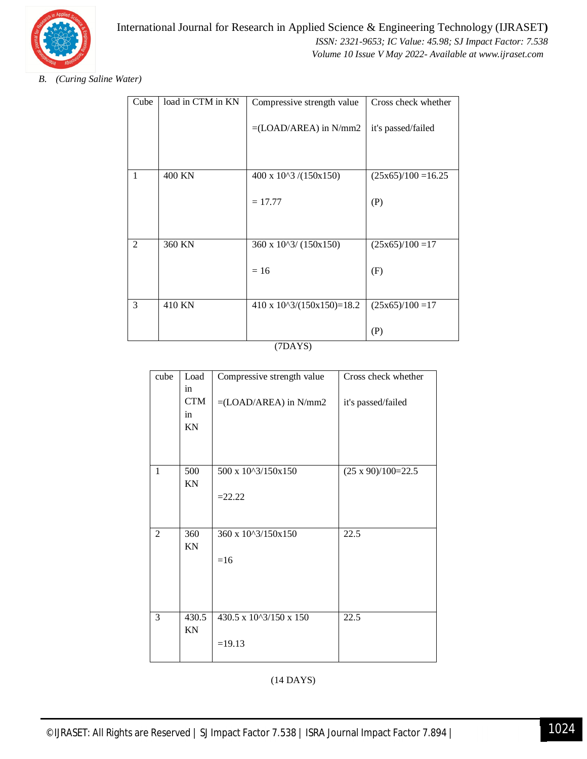

*B. (Curing Saline Water)* 

| Cube | load in CTM in KN | Compressive strength value                  | Cross check whether   |
|------|-------------------|---------------------------------------------|-----------------------|
|      |                   | $=(LOAD/AREA)$ in N/mm2                     | it's passed/failed    |
|      |                   |                                             |                       |
| 1    | 400 KN            | $400 \times 10^{3}/(150 \times 150)$        | $(25x65)/100 = 16.25$ |
|      |                   | $= 17.77$                                   | (P)                   |
|      |                   |                                             |                       |
| 2    | 360 KN            | 360 x $10^{3}/(150x150)$                    | $(25x65)/100=17$      |
|      |                   | $= 16$                                      | (F)                   |
|      |                   |                                             |                       |
| 3    | 410 KN            | $410 \times 10^{3}/(150 \times 150) = 18.2$ | $(25x65)/100=17$      |
|      |                   |                                             | (P)                   |

(7DAYS)

| cube           | Load       | Compressive strength value | Cross check whether       |
|----------------|------------|----------------------------|---------------------------|
|                | in         |                            |                           |
|                | <b>CTM</b> | $=(LOAD/AREA)$ in N/mm2    | it's passed/failed        |
|                | in         |                            |                           |
|                | KN         |                            |                           |
|                |            |                            |                           |
|                |            |                            |                           |
| $\mathbf{1}$   | 500        | 500 x 10^3/150x150         | $(25 \times 90)/100=22.5$ |
|                | KN         |                            |                           |
|                |            | $=22.22$                   |                           |
|                |            |                            |                           |
|                |            |                            |                           |
| $\overline{2}$ | 360        | 360 x 10^3/150x150         | 22.5                      |
|                | KN         |                            |                           |
|                |            | $=16$                      |                           |
|                |            |                            |                           |
|                |            |                            |                           |
|                |            |                            |                           |
| 3              | 430.5      | 430.5 x 10^3/150 x 150     | 22.5                      |
|                | KN         |                            |                           |
|                |            |                            |                           |
|                |            | $=19.13$                   |                           |
|                |            |                            |                           |

(14 DAYS)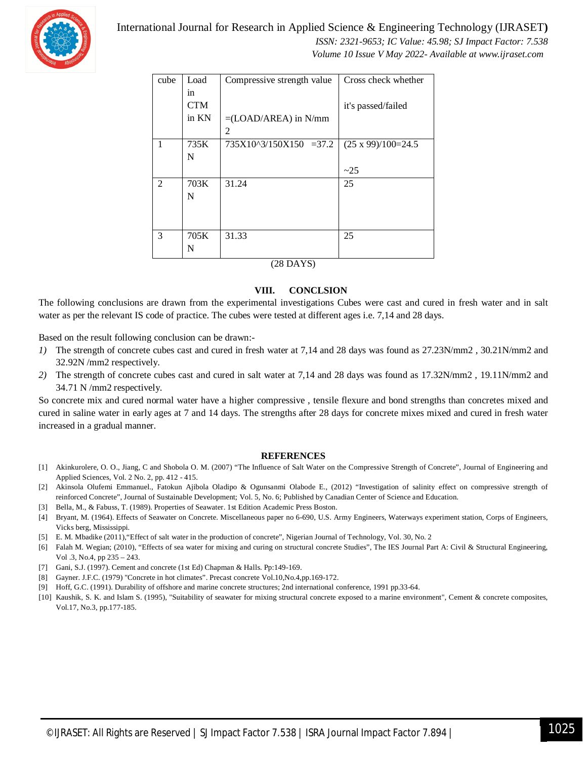

 *ISSN: 2321-9653; IC Value: 45.98; SJ Impact Factor: 7.538 Volume 10 Issue V May 2022- Available at www.ijraset.com*

| cube | Load       | Compressive strength value  | Cross check whether       |  |
|------|------------|-----------------------------|---------------------------|--|
|      | in.        |                             |                           |  |
|      | <b>CTM</b> |                             | it's passed/failed        |  |
|      | in KN      | $=(LOAD/AREA)$ in N/mm      |                           |  |
|      |            | 2                           |                           |  |
| 1    | 735K       | $735X10^{3}/150X150 = 37.2$ | $(25 \times 99)/100=24.5$ |  |
|      | N          |                             |                           |  |
|      |            |                             | ~25                       |  |
| 2    | 703K       | 31.24                       | 25                        |  |
|      | N          |                             |                           |  |
|      |            |                             |                           |  |
|      |            |                             |                           |  |
| 3    | 705K       | 31.33                       | 25                        |  |
|      | N          |                             |                           |  |
|      | (28 DAYS)  |                             |                           |  |

#### **VIII. CONCLSION**

The following conclusions are drawn from the experimental investigations Cubes were cast and cured in fresh water and in salt water as per the relevant IS code of practice. The cubes were tested at different ages i.e. 7,14 and 28 days.

Based on the result following conclusion can be drawn:-

- *1*) The strength of concrete cubes cast and cured in fresh water at 7,14 and 28 days was found as 27.23N/mm2, 30.21N/mm2 and 32.92N /mm2 respectively.
- *2)* The strength of concrete cubes cast and cured in salt water at 7,14 and 28 days was found as 17.32N/mm2 , 19.11N/mm2 and 34.71 N /mm2 respectively.

So concrete mix and cured normal water have a higher compressive , tensile flexure and bond strengths than concretes mixed and cured in saline water in early ages at 7 and 14 days. The strengths after 28 days for concrete mixes mixed and cured in fresh water increased in a gradual manner.

#### **REFERENCES**

- [1] Akinkurolere, O. O., Jiang, C and Shobola O. M. (2007) "The Influence of Salt Water on the Compressive Strength of Concrete", Journal of Engineering and Applied Sciences, Vol. 2 No. 2, pp. 412 - 415.
- [2] Akinsola Olufemi Emmanuel., Fatokun Ajibola Oladipo & Ogunsanmi Olabode E., (2012) "Investigation of salinity effect on compressive strength of reinforced Concrete", Journal of Sustainable Development; Vol. 5, No. 6; Published by Canadian Center of Science and Education.
- [3] Bella, M., & Fabuss, T. (1989). Properties of Seawater. 1st Edition Academic Press Boston.
- [4] Bryant, M. (1964). Effects of Seawater on Concrete. Miscellaneous paper no 6-690, U.S. Army Engineers, Waterways experiment station, Corps of Engineers, Vicks berg, Mississippi.
- [5] E. M. Mbadike (2011),"Effect of salt water in the production of concrete", Nigerian Journal of Technology, Vol. 30, No. 2
- [6] Falah M. Wegian; (2010), "Effects of sea water for mixing and curing on structural concrete Studies", The IES Journal Part A: Civil & Structural Engineering, Vol .3, No.4, pp 235 – 243.
- [7] Gani, S.J. (1997). Cement and concrete (1st Ed) Chapman & Halls. Pp:149-169.
- [8] Gayner. J.F.C. (1979) "Concrete in hot climates". Precast concrete Vol.10,No.4,pp.169-172.
- [9] Hoff, G.C. (1991). Durability of offshore and marine concrete structures; 2nd international conference, 1991 pp.33-64.
- [10] Kaushik, S. K. and Islam S. (1995), "Suitability of seawater for mixing structural concrete exposed to a marine environment", Cement & concrete composites, Vol.17, No.3, pp.177-185.